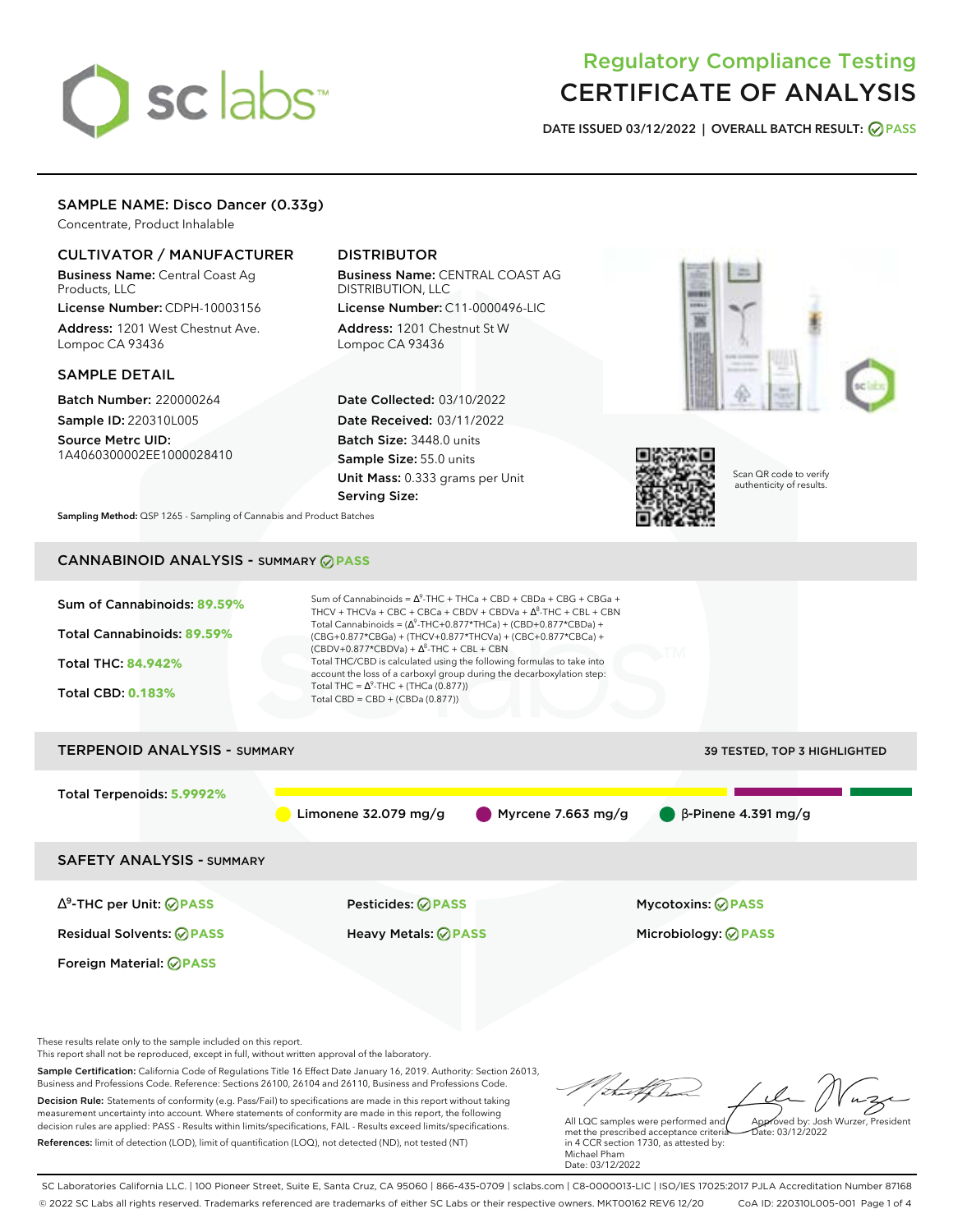# sclabs<sup>\*</sup>

# Regulatory Compliance Testing CERTIFICATE OF ANALYSIS

**DATE ISSUED 03/12/2022 | OVERALL BATCH RESULT: PASS**

# SAMPLE NAME: Disco Dancer (0.33g)

Concentrate, Product Inhalable

# CULTIVATOR / MANUFACTURER

Business Name: Central Coast Ag Products, LLC

License Number: CDPH-10003156 Address: 1201 West Chestnut Ave. Lompoc CA 93436

# SAMPLE DETAIL

Batch Number: 220000264 Sample ID: 220310L005

Source Metrc UID: 1A4060300002EE1000028410

# DISTRIBUTOR

Business Name: CENTRAL COAST AG DISTRIBUTION, LLC License Number: C11-0000496-LIC

Address: 1201 Chestnut St W Lompoc CA 93436

Date Collected: 03/10/2022 Date Received: 03/11/2022 Batch Size: 3448.0 units Sample Size: 55.0 units Unit Mass: 0.333 grams per Unit Serving Size:





Scan QR code to verify authenticity of results.

**Sampling Method:** QSP 1265 - Sampling of Cannabis and Product Batches

# CANNABINOID ANALYSIS - SUMMARY **PASS**



These results relate only to the sample included on this report.

This report shall not be reproduced, except in full, without written approval of the laboratory.

Sample Certification: California Code of Regulations Title 16 Effect Date January 16, 2019. Authority: Section 26013, Business and Professions Code. Reference: Sections 26100, 26104 and 26110, Business and Professions Code. Decision Rule: Statements of conformity (e.g. Pass/Fail) to specifications are made in this report without taking measurement uncertainty into account. Where statements of conformity are made in this report, the following decision rules are applied: PASS - Results within limits/specifications, FAIL - Results exceed limits/specifications.

References: limit of detection (LOD), limit of quantification (LOQ), not detected (ND), not tested (NT)

Approved by: Josh Wurzer, President

 $hat: 03/12/2022$ 

All LQC samples were performed and met the prescribed acceptance criteria in 4 CCR section 1730, as attested by: Michael Pham Date: 03/12/2022

SC Laboratories California LLC. | 100 Pioneer Street, Suite E, Santa Cruz, CA 95060 | 866-435-0709 | sclabs.com | C8-0000013-LIC | ISO/IES 17025:2017 PJLA Accreditation Number 87168 © 2022 SC Labs all rights reserved. Trademarks referenced are trademarks of either SC Labs or their respective owners. MKT00162 REV6 12/20 CoA ID: 220310L005-001 Page 1 of 4